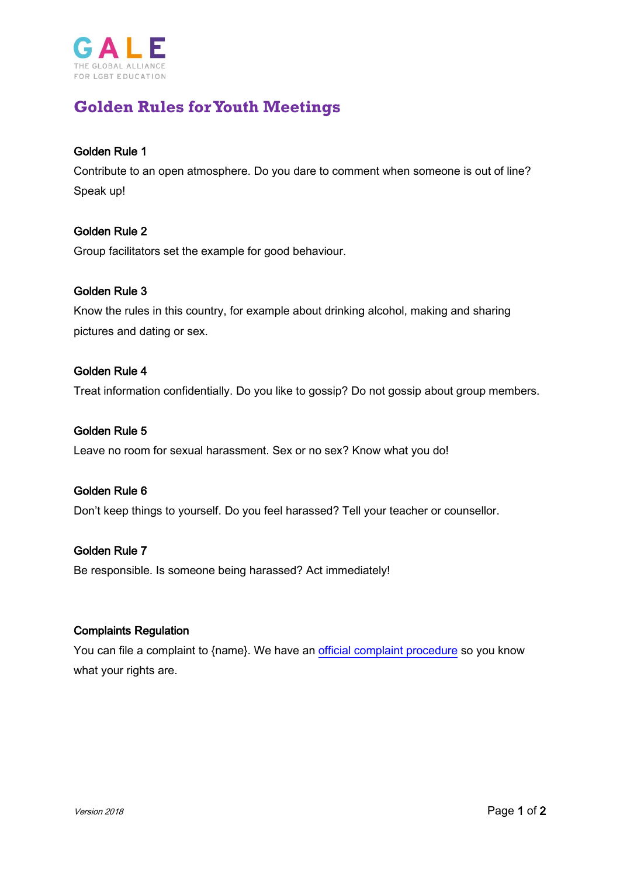

# **Golden Rules forYouth Meetings**

# Golden Rule 1

Contribute to an open atmosphere. Do you dare to comment when someone is out of line? Speak up!

# Golden Rule 2

Group facilitators set the example for good behaviour.

## Golden Rule 3

Know the rules in this country, for example about drinking alcohol, making and sharing pictures and dating or sex.

## Golden Rule 4

Treat information confidentially. Do you like to gossip? Do not gossip about group members.

## Golden Rule 5

Leave no room for sexual harassment. Sex or no sex? Know what you do!

## Golden Rule 6

Don't keep things to yourself. Do you feel harassed? Tell your teacher or counsellor.

## Golden Rule 7

Be responsible. Is someone being harassed? Act immediately!

#### Complaints Regulation

You can file a complaint to {name}. We have an [official complaint procedure](https://www.gale.info/doc/accountability/GALE-Complaint-Procedure.pdf) so you know what your rights are.